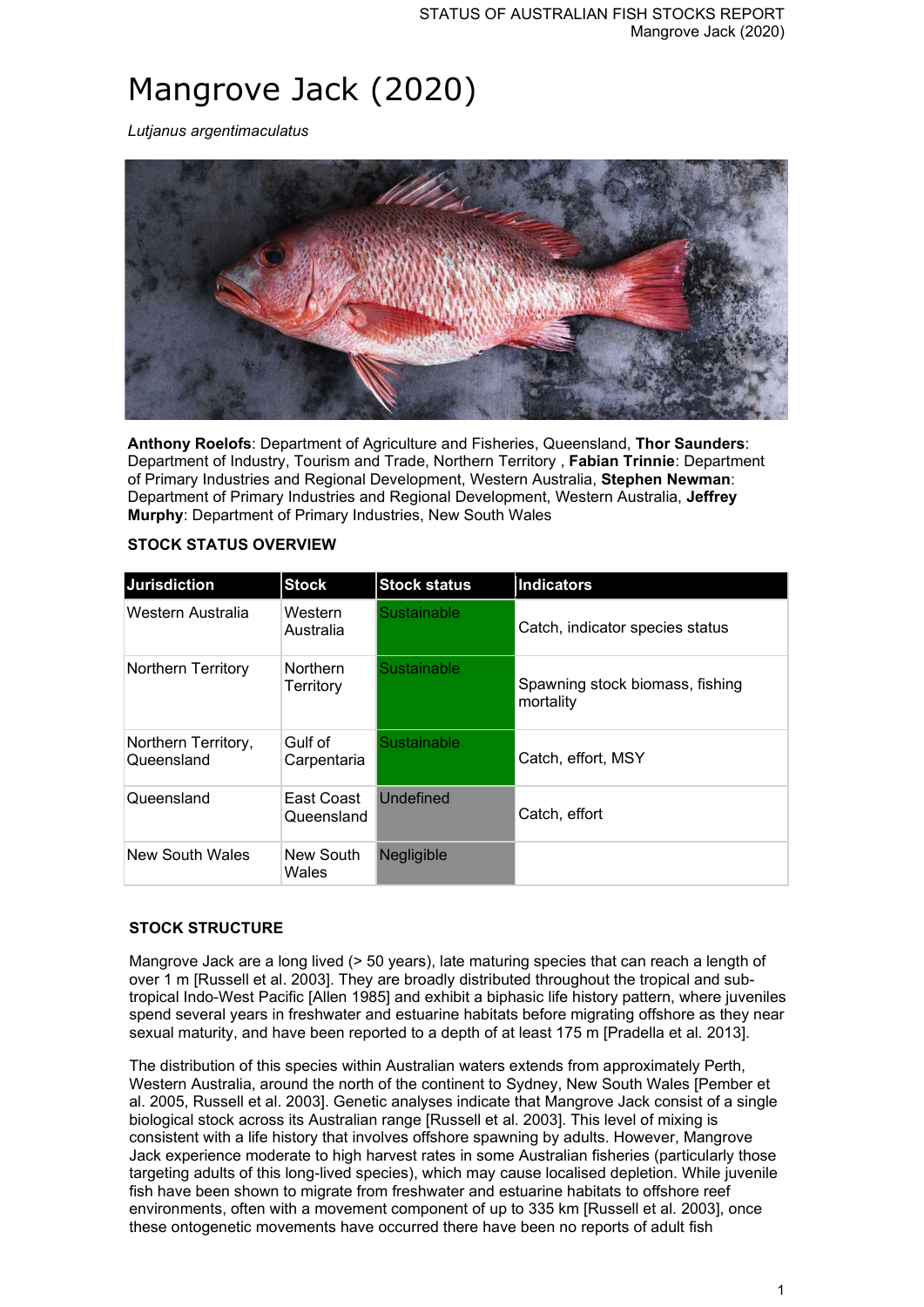# Mangrove Jack (2020)

*Lutjanus argentimaculatus*



**Anthony Roelofs**: Department of Agriculture and Fisheries, Queensland, **Thor Saunders**: Department of Industry, Tourism and Trade, Northern Territory , **Fabian Trinnie**: Department of Primary Industries and Regional Development, Western Australia, **Stephen Newman**: Department of Primary Industries and Regional Development, Western Australia, **Jeffrey Murphy**: Department of Primary Industries, New South Wales

| <b>Jurisdiction</b>               | <b>Stock</b>                 | <b>Stock status</b> | <b>Indicators</b>                            |
|-----------------------------------|------------------------------|---------------------|----------------------------------------------|
| Western Australia                 | Western<br>Australia         | Sustainable         | Catch, indicator species status              |
| Northern Territory                | <b>Northern</b><br>Territory | Sustainable         | Spawning stock biomass, fishing<br>mortality |
| Northern Territory,<br>Queensland | Gulf of<br>Carpentaria       | Sustainable         | Catch, effort, MSY                           |
| Queensland                        | East Coast<br>Queensland     | <b>Undefined</b>    | Catch, effort                                |
| New South Wales                   | New South<br>Wales           | <b>Negligible</b>   |                                              |

## **STOCK STATUS OVERVIEW**

## **STOCK STRUCTURE**

Mangrove Jack are a long lived (> 50 years), late maturing species that can reach a length of over 1 m [Russell et al. 2003]. They are broadly distributed throughout the tropical and subtropical Indo-West Pacific [Allen 1985] and exhibit a biphasic life history pattern, where juveniles spend several years in freshwater and estuarine habitats before migrating offshore as they near sexual maturity, and have been reported to a depth of at least 175 m [Pradella et al. 2013].

The distribution of this species within Australian waters extends from approximately Perth, Western Australia, around the north of the continent to Sydney, New South Wales [Pember et al. 2005, Russell et al. 2003]. Genetic analyses indicate that Mangrove Jack consist of a single biological stock across its Australian range [Russell et al. 2003]. This level of mixing is consistent with a life history that involves offshore spawning by adults. However, Mangrove Jack experience moderate to high harvest rates in some Australian fisheries (particularly those targeting adults of this long-lived species), which may cause localised depletion. While juvenile fish have been shown to migrate from freshwater and estuarine habitats to offshore reef environments, often with a movement component of up to 335 km [Russell et al. 2003], once these ontogenetic movements have occurred there have been no reports of adult fish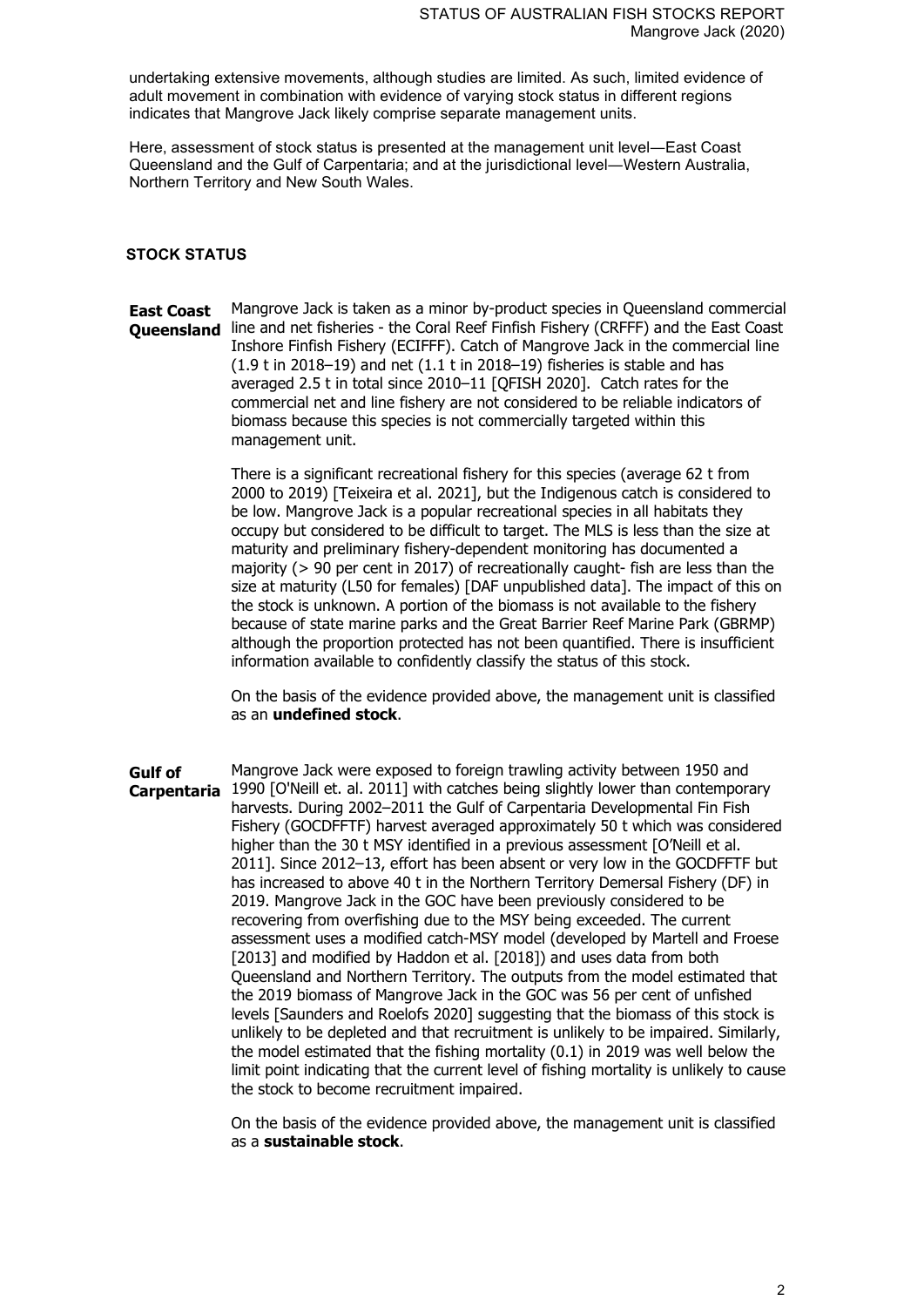undertaking extensive movements, although studies are limited. As such, limited evidence of adult movement in combination with evidence of varying stock status in different regions indicates that Mangrove Jack likely comprise separate management units.

Here, assessment of stock status is presented at the management unit level―East Coast Queensland and the Gulf of Carpentaria; and at the jurisdictional level―Western Australia, Northern Territory and New South Wales.

#### **STOCK STATUS**

**East Coast Queensland** line and net fisheries - the Coral Reef Finfish Fishery (CRFFF) and the East Coast Mangrove Jack is taken as a minor by-product species in Queensland commercial Inshore Finfish Fishery (ECIFFF). Catch of Mangrove Jack in the commercial line (1.9 t in 2018–19) and net (1.1 t in 2018–19) fisheries is stable and has averaged 2.5 t in total since 2010–11 [QFISH 2020]. Catch rates for the commercial net and line fishery are not considered to be reliable indicators of biomass because this species is not commercially targeted within this management unit.

> There is a significant recreational fishery for this species (average 62 t from 2000 to 2019) [Teixeira et al. 2021], but the Indigenous catch is considered to be low. Mangrove Jack is a popular recreational species in all habitats they occupy but considered to be difficult to target. The MLS is less than the size at maturity and preliminary fishery-dependent monitoring has documented a majority (> 90 per cent in 2017) of recreationally caught- fish are less than the size at maturity (L50 for females) [DAF unpublished data]. The impact of this on the stock is unknown. A portion of the biomass is not available to the fishery because of state marine parks and the Great Barrier Reef Marine Park (GBRMP) although the proportion protected has not been quantified. There is insufficient information available to confidently classify the status of this stock.

On the basis of the evidence provided above, the management unit is classified as an **undefined stock**.

**Gulf of Carpentaria** 1990 [O'Neill et. al. 2011] with catches being slightly lower than contemporary Mangrove Jack were exposed to foreign trawling activity between 1950 and harvests. During 2002–2011 the Gulf of Carpentaria Developmental Fin Fish Fishery (GOCDFFTF) harvest averaged approximately 50 t which was considered higher than the 30 t MSY identified in a previous assessment [O'Neill et al. 2011]. Since 2012–13, effort has been absent or very low in the GOCDFFTF but has increased to above 40 t in the Northern Territory Demersal Fishery (DF) in 2019. Mangrove Jack in the GOC have been previously considered to be recovering from overfishing due to the MSY being exceeded. The current assessment uses a modified catch-MSY model (developed by Martell and Froese [2013] and modified by Haddon et al. [2018]) and uses data from both Queensland and Northern Territory. The outputs from the model estimated that the 2019 biomass of Mangrove Jack in the GOC was 56 per cent of unfished levels [Saunders and Roelofs 2020] suggesting that the biomass of this stock is unlikely to be depleted and that recruitment is unlikely to be impaired. Similarly, the model estimated that the fishing mortality (0.1) in 2019 was well below the limit point indicating that the current level of fishing mortality is unlikely to cause the stock to become recruitment impaired.

> On the basis of the evidence provided above, the management unit is classified as a **sustainable stock**.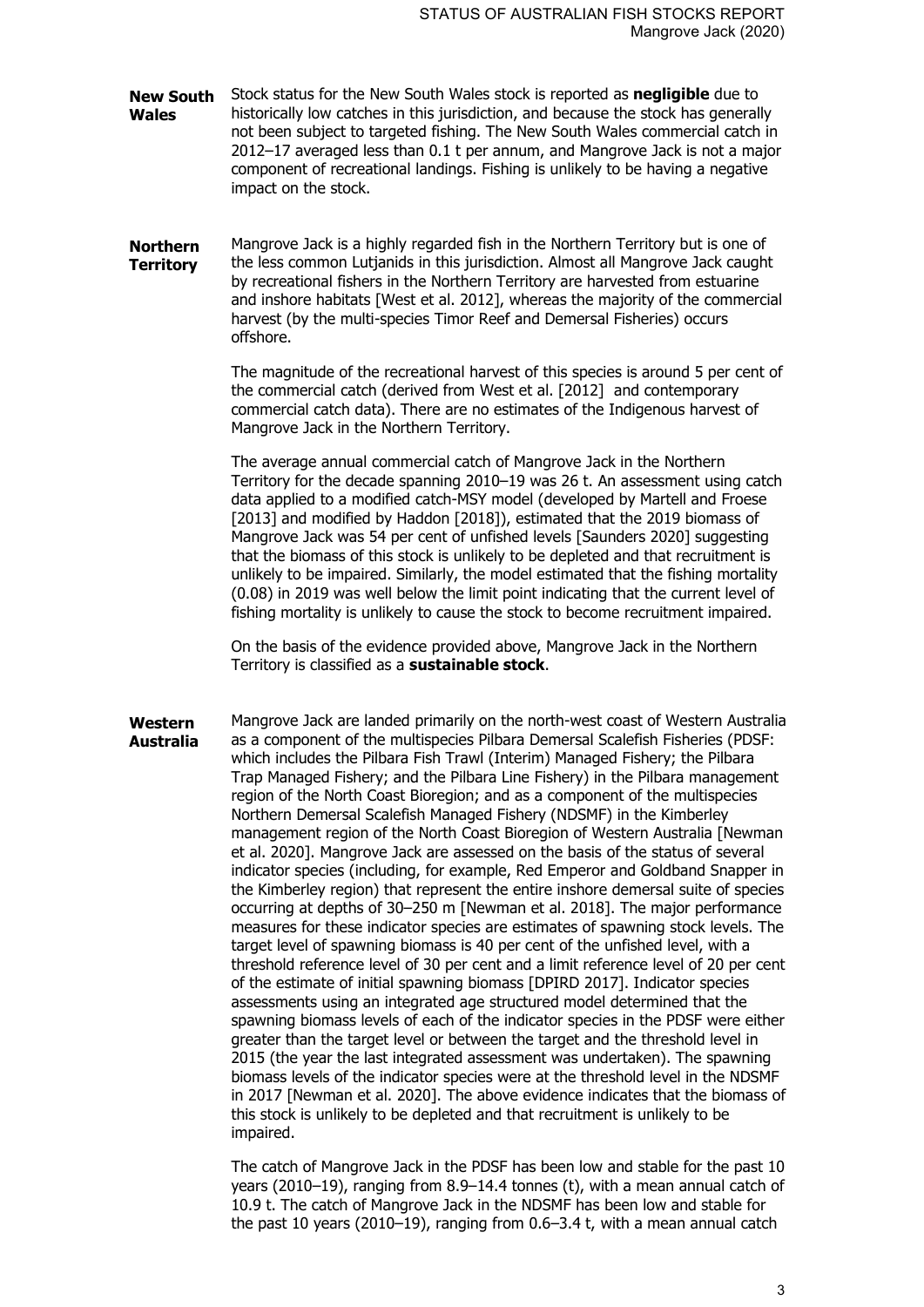- **New South Wales** Stock status for the New South Wales stock is reported as **negligible** due to historically low catches in this jurisdiction, and because the stock has generally not been subject to targeted fishing. The New South Wales commercial catch in 2012–17 averaged less than 0.1 t per annum, and Mangrove Jack is not a major component of recreational landings. Fishing is unlikely to be having a negative impact on the stock.
- **Northern Territory** Mangrove Jack is a highly regarded fish in the Northern Territory but is one of the less common Lutjanids in this jurisdiction. Almost all Mangrove Jack caught by recreational fishers in the Northern Territory are harvested from estuarine and inshore habitats [West et al. 2012], whereas the majority of the commercial harvest (by the multi-species Timor Reef and Demersal Fisheries) occurs offshore.

The magnitude of the recreational harvest of this species is around 5 per cent of the commercial catch (derived from West et al. [2012] and contemporary commercial catch data). There are no estimates of the Indigenous harvest of Mangrove Jack in the Northern Territory.

The average annual commercial catch of Mangrove Jack in the Northern Territory for the decade spanning 2010–19 was 26 t. An assessment using catch data applied to a modified catch-MSY model (developed by Martell and Froese [2013] and modified by Haddon [2018]), estimated that the 2019 biomass of Mangrove Jack was 54 per cent of unfished levels [Saunders 2020] suggesting that the biomass of this stock is unlikely to be depleted and that recruitment is unlikely to be impaired. Similarly, the model estimated that the fishing mortality (0.08) in 2019 was well below the limit point indicating that the current level of fishing mortality is unlikely to cause the stock to become recruitment impaired.

On the basis of the evidence provided above, Mangrove Jack in the Northern Territory is classified as a **sustainable stock**.

**Western Australia** Mangrove Jack are landed primarily on the north-west coast of Western Australia as a component of the multispecies Pilbara Demersal Scalefish Fisheries (PDSF: which includes the Pilbara Fish Trawl (Interim) Managed Fishery; the Pilbara Trap Managed Fishery; and the Pilbara Line Fishery) in the Pilbara management region of the North Coast Bioregion; and as a component of the multispecies Northern Demersal Scalefish Managed Fishery (NDSMF) in the Kimberley management region of the North Coast Bioregion of Western Australia [Newman et al. 2020]. Mangrove Jack are assessed on the basis of the status of several indicator species (including, for example, Red Emperor and Goldband Snapper in the Kimberley region) that represent the entire inshore demersal suite of species occurring at depths of 30–250 m [Newman et al. 2018]. The major performance measures for these indicator species are estimates of spawning stock levels. The target level of spawning biomass is 40 per cent of the unfished level, with a threshold reference level of 30 per cent and a limit reference level of 20 per cent of the estimate of initial spawning biomass [DPIRD 2017]. Indicator species assessments using an integrated age structured model determined that the spawning biomass levels of each of the indicator species in the PDSF were either greater than the target level or between the target and the threshold level in 2015 (the year the last integrated assessment was undertaken). The spawning biomass levels of the indicator species were at the threshold level in the NDSMF in 2017 [Newman et al. 2020]. The above evidence indicates that the biomass of this stock is unlikely to be depleted and that recruitment is unlikely to be impaired.

> The catch of Mangrove Jack in the PDSF has been low and stable for the past 10 years (2010–19), ranging from 8.9–14.4 tonnes (t), with a mean annual catch of 10.9 t. The catch of Mangrove Jack in the NDSMF has been low and stable for the past 10 years (2010–19), ranging from 0.6–3.4 t, with a mean annual catch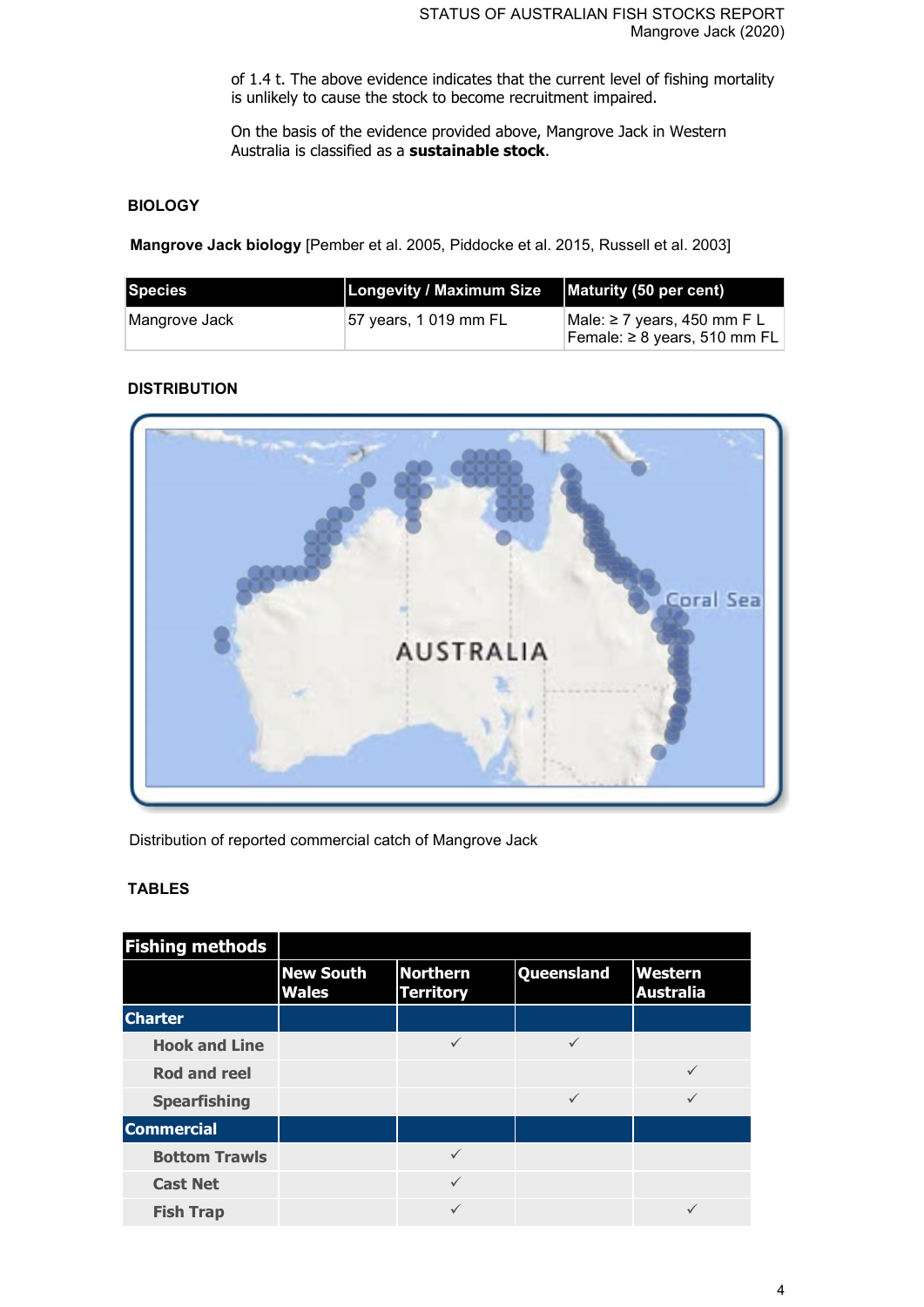of 1.4 t. The above evidence indicates that the current level of fishing mortality is unlikely to cause the stock to become recruitment impaired.

On the basis of the evidence provided above, Mangrove Jack in Western Australia is classified as a **sustainable stock**.

## **BIOLOGY**

**Mangrove Jack biology** [Pember et al. 2005, Piddocke et al. 2015, Russell et al. 2003]

| Species        | Longevity / Maximum Size | Maturity (50 per cent)                                           |
|----------------|--------------------------|------------------------------------------------------------------|
| ∣Mangrove Jack | 157 years, 1 019 mm FL   | Male: ≥ 7 years, 450 mm F L<br>Female: $\geq 8$ years, 510 mm FL |

## **DISTRIBUTION**



Distribution of reported commercial catch of Mangrove Jack

## **TABLES**

| <b>Fishing methods</b> |                                  |                                     |                   |                             |
|------------------------|----------------------------------|-------------------------------------|-------------------|-----------------------------|
|                        | <b>New South</b><br><b>Wales</b> | <b>Northern</b><br><b>Territory</b> | <b>Queensland</b> | Western<br><b>Australia</b> |
| <b>Charter</b>         |                                  |                                     |                   |                             |
| <b>Hook and Line</b>   |                                  | $\checkmark$                        |                   |                             |
| <b>Rod and reel</b>    |                                  |                                     |                   | $\checkmark$                |
| <b>Spearfishing</b>    |                                  |                                     | $\checkmark$      | ✓                           |
| <b>Commercial</b>      |                                  |                                     |                   |                             |
| <b>Bottom Trawls</b>   |                                  | ✓                                   |                   |                             |
| <b>Cast Net</b>        |                                  | $\checkmark$                        |                   |                             |
| <b>Fish Trap</b>       |                                  | ✓                                   |                   |                             |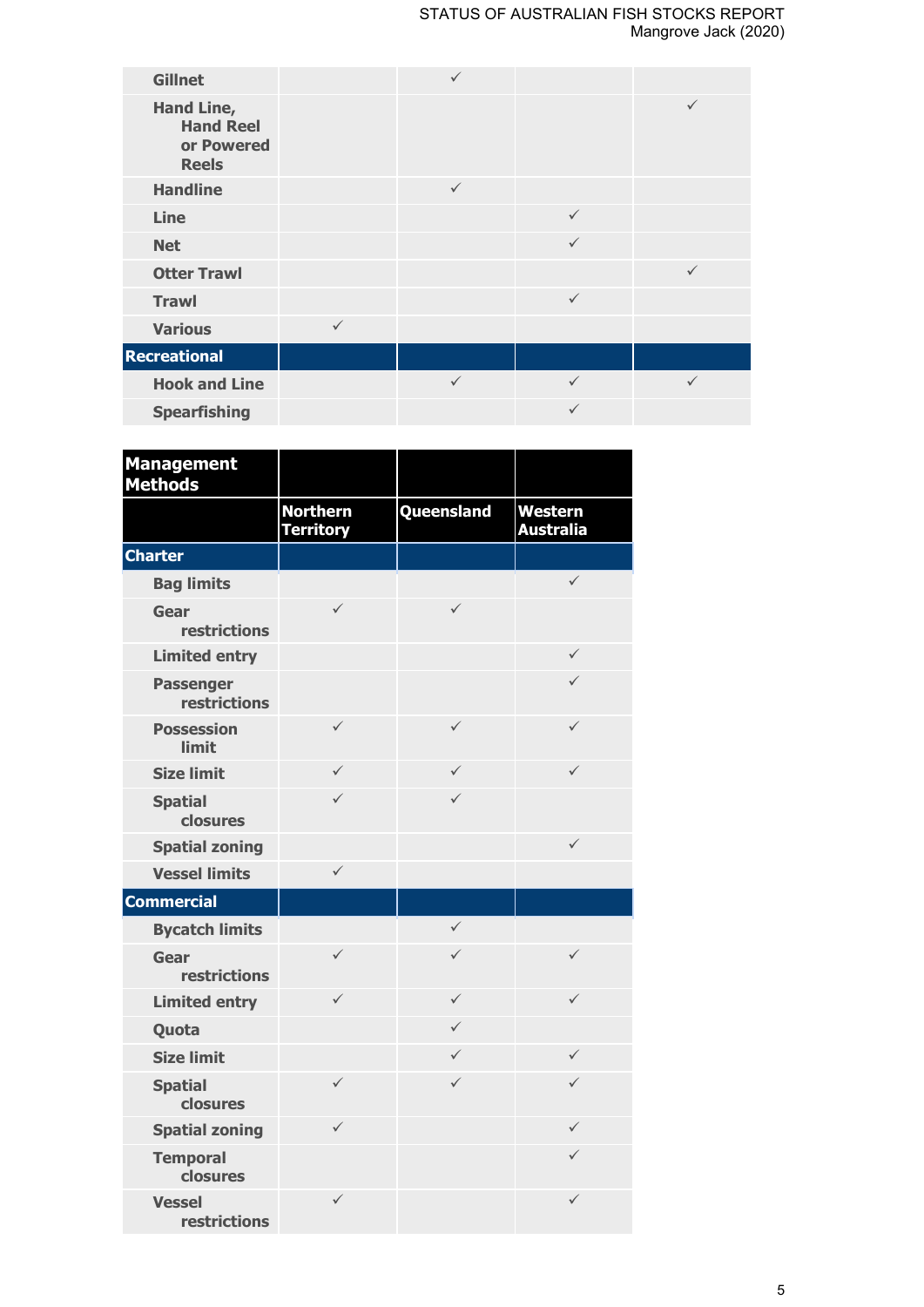| <b>Gillnet</b>                                               |              |              |              |              |
|--------------------------------------------------------------|--------------|--------------|--------------|--------------|
| Hand Line,<br><b>Hand Reel</b><br>or Powered<br><b>Reels</b> |              |              |              | $\checkmark$ |
| <b>Handline</b>                                              |              | $\checkmark$ |              |              |
| Line                                                         |              |              | $\checkmark$ |              |
| <b>Net</b>                                                   |              |              | $\checkmark$ |              |
| <b>Otter Trawl</b>                                           |              |              |              | $\checkmark$ |
| <b>Trawl</b>                                                 |              |              | $\checkmark$ |              |
| <b>Various</b>                                               | $\checkmark$ |              |              |              |
| <b>Recreational</b>                                          |              |              |              |              |
| <b>Hook and Line</b>                                         |              | $\checkmark$ | $\checkmark$ | ✓            |
| <b>Spearfishing</b>                                          |              |              | $\checkmark$ |              |

| <b>Management</b><br><b>Methods</b>     |                                     |              |                                    |
|-----------------------------------------|-------------------------------------|--------------|------------------------------------|
|                                         | <b>Northern</b><br><b>Territory</b> | Queensland   | <b>Western</b><br><b>Australia</b> |
| <b>Charter</b>                          |                                     |              |                                    |
| <b>Bag limits</b>                       |                                     |              | $\checkmark$                       |
| Gear<br>restrictions                    | $\checkmark$                        | $\checkmark$ |                                    |
| <b>Limited entry</b>                    |                                     |              | $\checkmark$                       |
| <b>Passenger</b><br><b>restrictions</b> |                                     |              | $\checkmark$                       |
| <b>Possession</b><br><b>limit</b>       | $\checkmark$                        | $\checkmark$ | $\checkmark$                       |
| <b>Size limit</b>                       | $\checkmark$                        | $\checkmark$ | $\checkmark$                       |
| <b>Spatial</b><br>closures              | $\checkmark$                        | $\checkmark$ |                                    |
| <b>Spatial zoning</b>                   |                                     |              | $\checkmark$                       |
| <b>Vessel limits</b>                    | $\checkmark$                        |              |                                    |
| <b>Commercial</b>                       |                                     |              |                                    |
| <b>Bycatch limits</b>                   |                                     | $\checkmark$ |                                    |
| Gear<br><b>restrictions</b>             | $\checkmark$                        | $\checkmark$ | $\checkmark$                       |
| <b>Limited entry</b>                    | $\checkmark$                        | $\checkmark$ | $\checkmark$                       |
| Quota                                   |                                     | $\checkmark$ |                                    |
| <b>Size limit</b>                       |                                     | $\checkmark$ | $\checkmark$                       |
| <b>Spatial</b><br>closures              | $\checkmark$                        | $\checkmark$ | $\checkmark$                       |
| <b>Spatial zoning</b>                   | $\checkmark$                        |              | $\checkmark$                       |
| <b>Temporal</b><br>closures             |                                     |              | $\checkmark$                       |
| <b>Vessel</b><br><b>restrictions</b>    | $\checkmark$                        |              | $\checkmark$                       |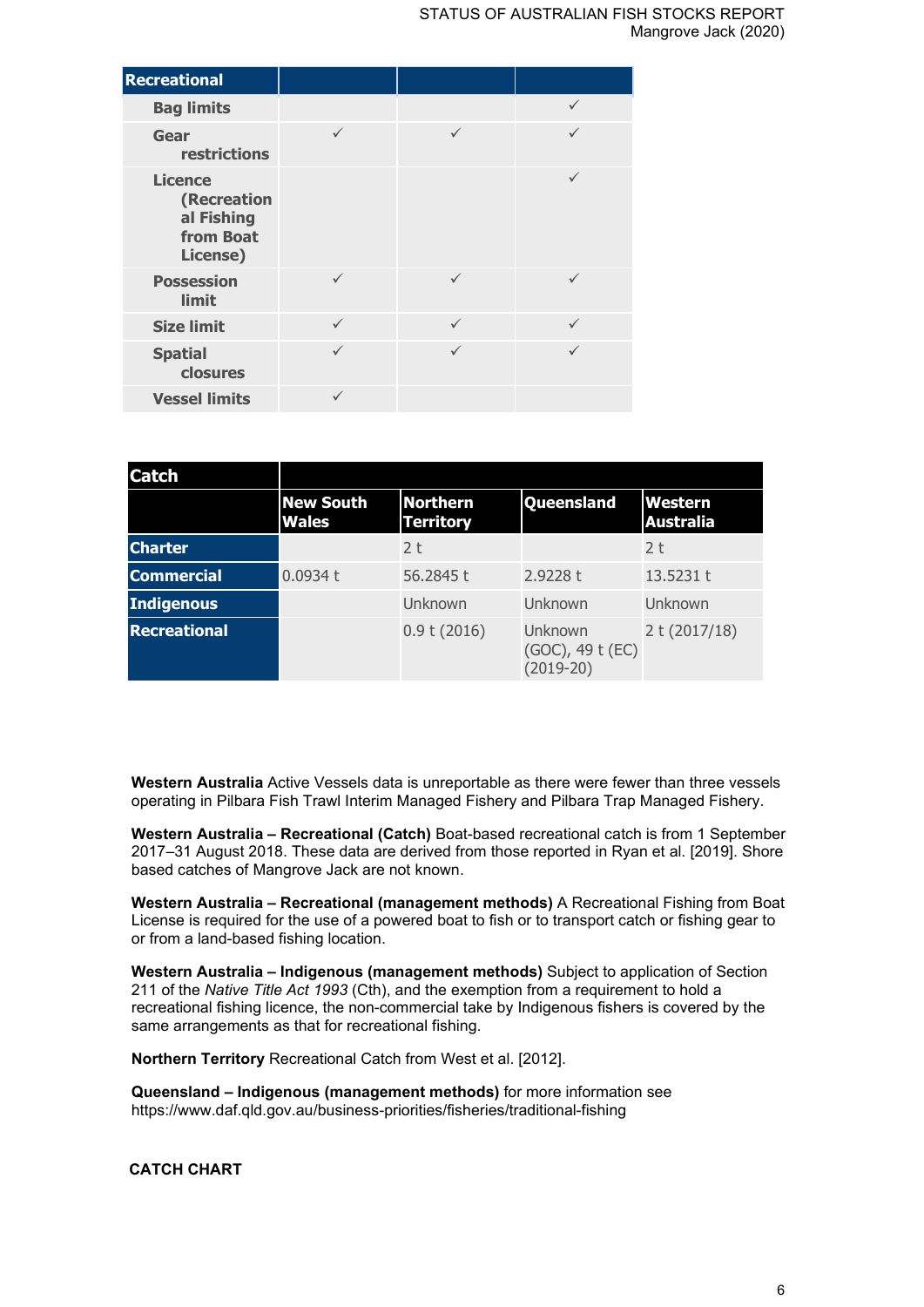| <b>Recreational</b>                                                  |              |              |              |
|----------------------------------------------------------------------|--------------|--------------|--------------|
| <b>Bag limits</b>                                                    |              |              | $\checkmark$ |
| Gear<br>restrictions                                                 | ✓            | ✓            | ✓            |
| <b>Licence</b><br>(Recreation<br>al Fishing<br>from Boat<br>License) |              |              | ✓            |
| <b>Possession</b><br>limit                                           | ✓            | ✓            | ✓            |
| <b>Size limit</b>                                                    | $\checkmark$ | $\checkmark$ | $\checkmark$ |
| <b>Spatial</b><br>closures                                           | ✓            | ✓            |              |
| <b>Vessel limits</b>                                                 | ✓            |              |              |

| <b>Catch</b>        |                                  |                                     |                                            |                             |
|---------------------|----------------------------------|-------------------------------------|--------------------------------------------|-----------------------------|
|                     | <b>New South</b><br><b>Wales</b> | <b>Northern</b><br><b>Territory</b> | Queensland                                 | Western<br><b>Australia</b> |
| <b>Charter</b>      |                                  | 2 <sub>t</sub>                      |                                            | 2 <sub>t</sub>              |
| <b>Commercial</b>   | 0.0934 t                         | 56.2845 t                           | 2.9228 t                                   | 13.5231 t                   |
| <b>Indigenous</b>   |                                  | Unknown                             | Unknown                                    | Unknown                     |
| <b>Recreational</b> |                                  | 0.9 t(2016)                         | Unknown<br>(GOC), 49 t (EC)<br>$(2019-20)$ | 2 t (2017/18)               |

**Western Australia** Active Vessels data is unreportable as there were fewer than three vessels operating in Pilbara Fish Trawl Interim Managed Fishery and Pilbara Trap Managed Fishery.

**Western Australia – Recreational (Catch)** Boat-based recreational catch is from 1 September 2017–31 August 2018. These data are derived from those reported in Ryan et al. [2019]. Shore based catches of Mangrove Jack are not known.

**Western Australia – Recreational (management methods)** A Recreational Fishing from Boat License is required for the use of a powered boat to fish or to transport catch or fishing gear to or from a land-based fishing location.

**Western Australia – Indigenous (management methods)** Subject to application of Section 211 of the *Native Title Act 1993* (Cth), and the exemption from a requirement to hold a recreational fishing licence, the non-commercial take by Indigenous fishers is covered by the same arrangements as that for recreational fishing.

**Northern Territory** Recreational Catch from West et al. [2012].

**Queensland – Indigenous (management methods)** for more information see https://www.daf.qld.gov.au/business-priorities/fisheries/traditional-fishing

**CATCH CHART**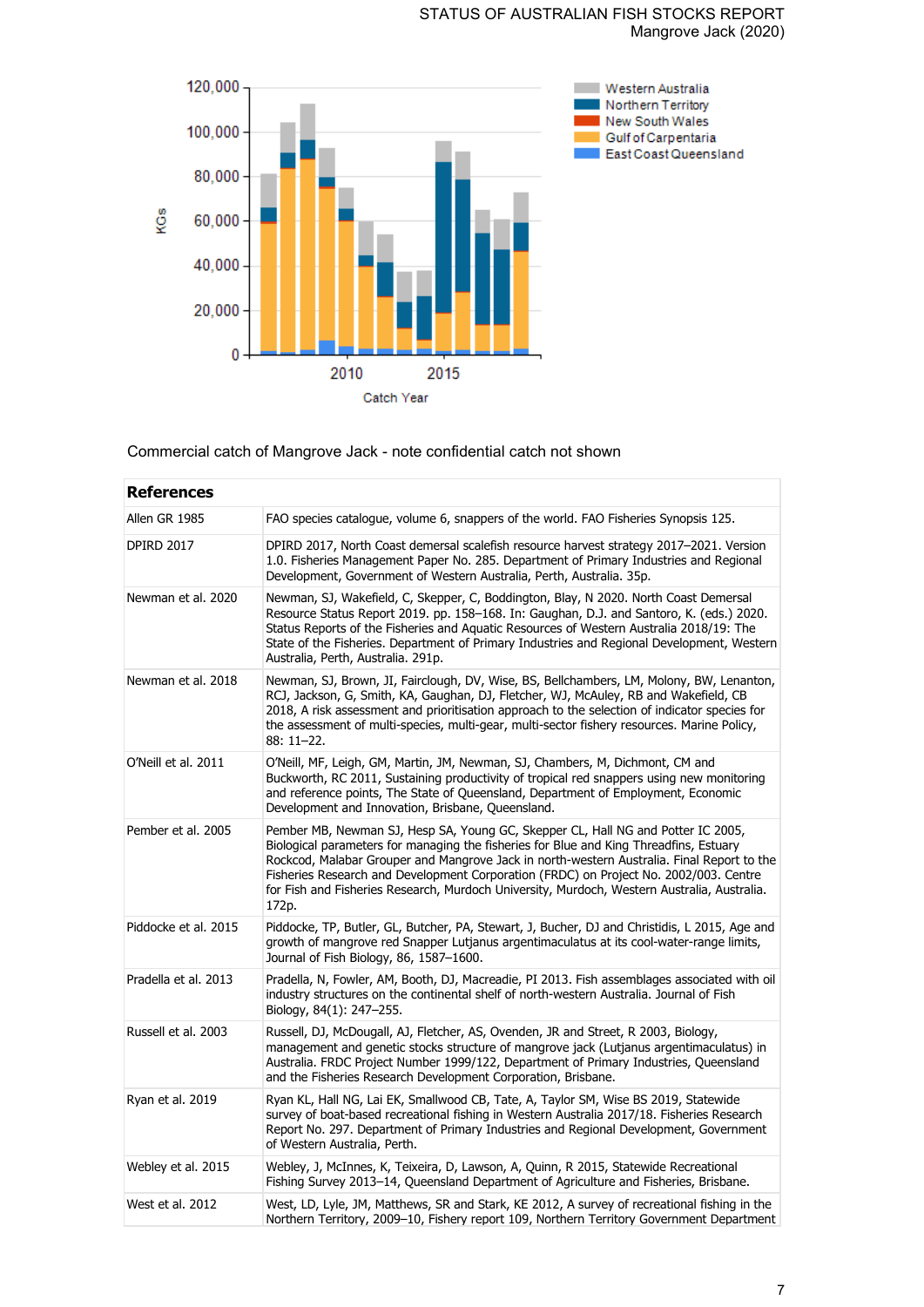## STATUS OF AUSTRALIAN FISH STOCKS REPORT Mangrove Jack (2020)



Commercial catch of Mangrove Jack - note confidential catch not shown

| <b>References</b>    |                                                                                                                                                                                                                                                                                                                                                                                                                                                                           |  |  |
|----------------------|---------------------------------------------------------------------------------------------------------------------------------------------------------------------------------------------------------------------------------------------------------------------------------------------------------------------------------------------------------------------------------------------------------------------------------------------------------------------------|--|--|
| Allen GR 1985        | FAO species catalogue, volume 6, snappers of the world. FAO Fisheries Synopsis 125.                                                                                                                                                                                                                                                                                                                                                                                       |  |  |
| <b>DPIRD 2017</b>    | DPIRD 2017, North Coast demersal scalefish resource harvest strategy 2017-2021. Version<br>1.0. Fisheries Management Paper No. 285. Department of Primary Industries and Regional<br>Development, Government of Western Australia, Perth, Australia. 35p.                                                                                                                                                                                                                 |  |  |
| Newman et al. 2020   | Newman, SJ, Wakefield, C, Skepper, C, Boddington, Blay, N 2020. North Coast Demersal<br>Resource Status Report 2019. pp. 158-168. In: Gaughan, D.J. and Santoro, K. (eds.) 2020.<br>Status Reports of the Fisheries and Aquatic Resources of Western Australia 2018/19: The<br>State of the Fisheries. Department of Primary Industries and Regional Development, Western<br>Australia, Perth, Australia. 291p.                                                           |  |  |
| Newman et al. 2018   | Newman, SJ, Brown, JI, Fairclough, DV, Wise, BS, Bellchambers, LM, Molony, BW, Lenanton,<br>RCJ, Jackson, G, Smith, KA, Gaughan, DJ, Fletcher, WJ, McAuley, RB and Wakefield, CB<br>2018, A risk assessment and prioritisation approach to the selection of indicator species for<br>the assessment of multi-species, multi-gear, multi-sector fishery resources. Marine Policy,<br>88: 11-22.                                                                            |  |  |
| O'Neill et al. 2011  | O'Neill, MF, Leigh, GM, Martin, JM, Newman, SJ, Chambers, M, Dichmont, CM and<br>Buckworth, RC 2011, Sustaining productivity of tropical red snappers using new monitoring<br>and reference points, The State of Queensland, Department of Employment, Economic<br>Development and Innovation, Brisbane, Queensland.                                                                                                                                                      |  |  |
| Pember et al. 2005   | Pember MB, Newman SJ, Hesp SA, Young GC, Skepper CL, Hall NG and Potter IC 2005,<br>Biological parameters for managing the fisheries for Blue and King Threadfins, Estuary<br>Rockcod, Malabar Grouper and Mangrove Jack in north-western Australia. Final Report to the<br>Fisheries Research and Development Corporation (FRDC) on Project No. 2002/003. Centre<br>for Fish and Fisheries Research, Murdoch University, Murdoch, Western Australia, Australia.<br>172p. |  |  |
| Piddocke et al. 2015 | Piddocke, TP, Butler, GL, Butcher, PA, Stewart, J, Bucher, DJ and Christidis, L 2015, Age and<br>growth of mangrove red Snapper Lutjanus argentimaculatus at its cool-water-range limits,<br>Journal of Fish Biology, 86, 1587-1600.                                                                                                                                                                                                                                      |  |  |
| Pradella et al. 2013 | Pradella, N, Fowler, AM, Booth, DJ, Macreadie, PI 2013. Fish assemblages associated with oil<br>industry structures on the continental shelf of north-western Australia. Journal of Fish<br>Biology, 84(1): 247–255.                                                                                                                                                                                                                                                      |  |  |
| Russell et al. 2003  | Russell, DJ, McDougall, AJ, Fletcher, AS, Ovenden, JR and Street, R 2003, Biology,<br>management and genetic stocks structure of mangrove jack (Lutjanus argentimaculatus) in<br>Australia. FRDC Project Number 1999/122, Department of Primary Industries, Queensland<br>and the Fisheries Research Development Corporation, Brisbane.                                                                                                                                   |  |  |
| Ryan et al. 2019     | Ryan KL, Hall NG, Lai EK, Smallwood CB, Tate, A, Taylor SM, Wise BS 2019, Statewide<br>survey of boat-based recreational fishing in Western Australia 2017/18. Fisheries Research<br>Report No. 297. Department of Primary Industries and Regional Development, Government<br>of Western Australia, Perth.                                                                                                                                                                |  |  |
| Webley et al. 2015   | Webley, J, McInnes, K, Teixeira, D, Lawson, A, Quinn, R 2015, Statewide Recreational<br>Fishing Survey 2013-14, Queensland Department of Agriculture and Fisheries, Brisbane.                                                                                                                                                                                                                                                                                             |  |  |
| West et al. 2012     | West, LD, Lyle, JM, Matthews, SR and Stark, KE 2012, A survey of recreational fishing in the<br>Northern Territory, 2009-10, Fishery report 109, Northern Territory Government Department                                                                                                                                                                                                                                                                                 |  |  |